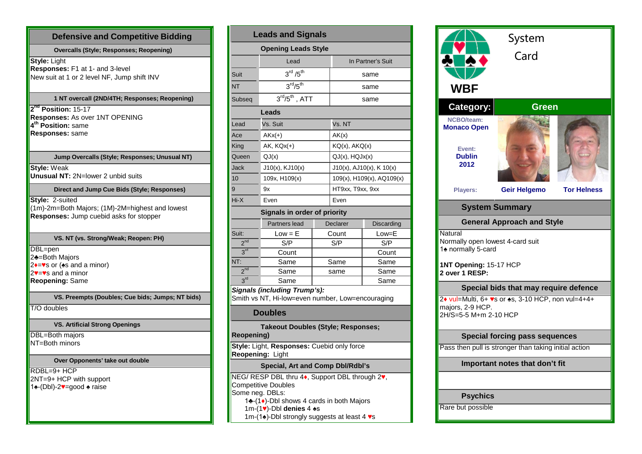# **Defensive and Competitive Bidding Overcalls (Style; Responses; Reopening)**

**Style:** Light **Responses:** F1 at 1- and 3-level New suit at 1 or 2 level NF, Jump shift INV

## **1 NT overcall (2ND/4TH; Responses; Reopening)**

**2nd Position:** 15-17 **Responses:** As over 1NT OPENING **4th Position:** same **Responses:** same

#### **Jump Overcalls (Style; Responses; Unusual NT)**

**Style:** Weak **Unusual NT:** 2N=lower 2 unbid suits

## **Direct and Jump Cue Bids (Style; Responses)**

**Style:** 2-suited  $(1m)$ -2m=Both Majors; (1M)-2M=highest and lowest **Responses:** Jump cuebid asks for stopper

#### **VS. NT (vs. Strong/Weak; Reopen: PH)**

DBL=pen 2♣=Both Majors  $2 \rightarrow \bullet$ s or ( $\bullet$ s and a minor)  $2v = v s$  and a minor **Reopening:** Same

#### **VS. Preempts (Doubles; Cue bids; Jumps; NT bids)**

T/O doubles

# **VS. Artificial Strong Openings**

DBL=Both majors NT=Both minors

# **Over Opponents' take out double**

 $RDBL=9+HCP$  $\vert$ 2NT=9+ HCP with support 1♠-(Dbl)-2♥=good ♠ raise

| <b>Leads and Signals</b> |                                                                                                                                                                            |  |                           |                          |  |  |  |  |  |
|--------------------------|----------------------------------------------------------------------------------------------------------------------------------------------------------------------------|--|---------------------------|--------------------------|--|--|--|--|--|
|                          | <b>Opening Leads Style</b>                                                                                                                                                 |  |                           |                          |  |  |  |  |  |
|                          | Lead                                                                                                                                                                       |  | In Partner's Suit         |                          |  |  |  |  |  |
| Suit                     | $3^{\text{rd}}$ / $5^{\text{th}}$                                                                                                                                          |  |                           | same                     |  |  |  |  |  |
| <b>NT</b>                | $3^{\text{rd}}/5^{\text{th}}$                                                                                                                                              |  |                           | same                     |  |  |  |  |  |
| Subseg                   | $3rd/5th$ , ATT                                                                                                                                                            |  | same                      |                          |  |  |  |  |  |
|                          | Leads                                                                                                                                                                      |  |                           |                          |  |  |  |  |  |
| Lead                     | Vs. Suit                                                                                                                                                                   |  | Vs. NT                    |                          |  |  |  |  |  |
| Ace                      | $AKx(+)$                                                                                                                                                                   |  | AK(x)                     |                          |  |  |  |  |  |
| King                     | $AK$ , $KQx(+)$                                                                                                                                                            |  |                           | KQ(x), AKQ(x)            |  |  |  |  |  |
| Queen                    | QJ(x)                                                                                                                                                                      |  |                           | $QJ(x)$ , $HQJx(x)$      |  |  |  |  |  |
| Jack                     | $J10(x)$ , $KJ10(x)$                                                                                                                                                       |  |                           | J10(x), AJ10(x), K 10(x) |  |  |  |  |  |
| 10                       | 109x, H109(x)                                                                                                                                                              |  | 109(x), H109(x), AQ109(x) |                          |  |  |  |  |  |
| 9                        | 9x                                                                                                                                                                         |  |                           | HT9xx, T9xx, 9xx         |  |  |  |  |  |
| Hi-X                     | Even                                                                                                                                                                       |  |                           | Even                     |  |  |  |  |  |
|                          | Signals in order of priority                                                                                                                                               |  |                           |                          |  |  |  |  |  |
|                          | Partners lead                                                                                                                                                              |  | Declarer                  | Discarding               |  |  |  |  |  |
| Suit:                    | $Low = E$                                                                                                                                                                  |  | Count                     | Low=E                    |  |  |  |  |  |
| 2 <sup>nd</sup>          | S/P                                                                                                                                                                        |  | S/P                       | S/P                      |  |  |  |  |  |
| 3 <sup>rd</sup>          | Count                                                                                                                                                                      |  |                           | Count                    |  |  |  |  |  |
| NT:                      | Same                                                                                                                                                                       |  | Same                      | Same                     |  |  |  |  |  |
| 2 <sup>nd</sup>          | Same                                                                                                                                                                       |  | same                      | Same                     |  |  |  |  |  |
| 3 <sup>rd</sup>          | Same                                                                                                                                                                       |  |                           | Same                     |  |  |  |  |  |
|                          | <b>Signals (including Trump's):</b><br>Smith vs NT, Hi-low=even number, Low=encouraging<br><b>Doubles</b>                                                                  |  |                           |                          |  |  |  |  |  |
| <b>Reopening)</b>        | Takeout Doubles (Style; Responses;                                                                                                                                         |  |                           |                          |  |  |  |  |  |
|                          | Style: Light, Responses: Cuebid only force<br>Reopening: Light                                                                                                             |  |                           |                          |  |  |  |  |  |
|                          | Special, Art and Comp Dbl/Rdbl's                                                                                                                                           |  |                           |                          |  |  |  |  |  |
|                          | NEG/ RESP DBL thru 4♦, Support DBL through 2♥,<br><b>Competitive Doubles</b><br>Some neg. DBLs:<br>1♣ - (1♦) - Dbl shows 4 cards in both Majors<br>1m-(1v)-Dbl denies 4 +s |  |                           |                          |  |  |  |  |  |

1m-(1♠)-Dbl strongly suggests at least 4 ♥s

| WBF                                                                                                  | System<br>Card                        |                    |  |  |  |  |  |
|------------------------------------------------------------------------------------------------------|---------------------------------------|--------------------|--|--|--|--|--|
| Category:                                                                                            | <b>Green</b>                          |                    |  |  |  |  |  |
| <b>NCBO/team:</b>                                                                                    |                                       |                    |  |  |  |  |  |
| <b>Monaco Open</b><br>Event:<br><b>Dublin</b><br>2012                                                |                                       |                    |  |  |  |  |  |
| Players:                                                                                             | <b>Geir Helgemo</b>                   | <b>Tor Helness</b> |  |  |  |  |  |
|                                                                                                      | <b>System Summary</b>                 |                    |  |  |  |  |  |
|                                                                                                      | <b>General Approach and Style</b>     |                    |  |  |  |  |  |
| Natural<br>Normally open lowest 4-card suit<br>1 <sup>+</sup> normally 5-card                        |                                       |                    |  |  |  |  |  |
| 1NT Opening: 15-17 HCP<br>2 over 1 RESP:                                                             |                                       |                    |  |  |  |  |  |
|                                                                                                      | Special bids that may require defence |                    |  |  |  |  |  |
| 2+ vul=Multi, 6+ vs or $\ast$ s, 3-10 HCP, non vul=4+4+<br>majors, 2-9 HCP.<br>2H/S=5-5 M+m 2-10 HCP |                                       |                    |  |  |  |  |  |
| <b>Special forcing pass sequences</b>                                                                |                                       |                    |  |  |  |  |  |
| Pass then pull is stronger than taking initial action                                                |                                       |                    |  |  |  |  |  |
| Important notes that don't fit                                                                       |                                       |                    |  |  |  |  |  |
|                                                                                                      |                                       |                    |  |  |  |  |  |
| <b>Psychics</b>                                                                                      |                                       |                    |  |  |  |  |  |
| Rare but possible                                                                                    |                                       |                    |  |  |  |  |  |